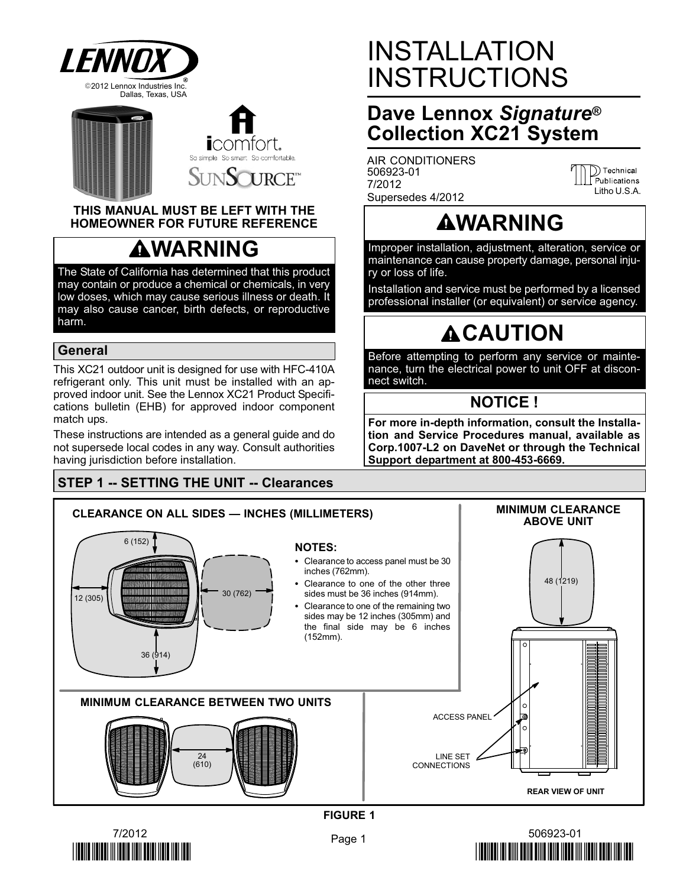



#### THIS MANUAL MUST BE LEFT WITH THE HOMEOWNER FOR FUTURE REFERENCE

# **AWARNING**

The State of California has determined that this product may contain or produce a chemical or chemicals, in very low doses, which may cause serious illness or death. It may also cause cancer, birth defects, or reproductive harm.

### General

This XC21 outdoor unit is designed for use with HFC−410A refrigerant only. This unit must be installed with an approved indoor unit. See the Lennox XC21 Product Specifications bulletin (EHB) for approved indoor component match ups.

These instructions are intended as a general guide and do not supersede local codes in any way. Consult authorities having jurisdiction before installation.

# STEP 1 −− SETTING THE UNIT −− Clearances

# INSTALLATION INSTRUCTIONS

# Dave Lennox Signature<sup>®</sup> Collection XC21 System

AIR CONDITIONERS 506923−01 7/2012 Supersedes 4/2012

D Technical<br>Publications Litho U.S.A.

# **AWARNING**

Improper installation, adjustment, alteration, service or maintenance can cause property damage, personal injury or loss of life.

Installation and service must be performed by a licensed professional installer (or equivalent) or service agency.

# **ACAUTION**

Before attempting to perform any service or maintenance, turn the electrical power to unit OFF at disconnect switch.

### NOTICE !

For more in−depth information, consult the Installation and Service Procedures manual, available as Corp.1007−L2 on DaveNet or through the Technical Support department at 800−453−6669.

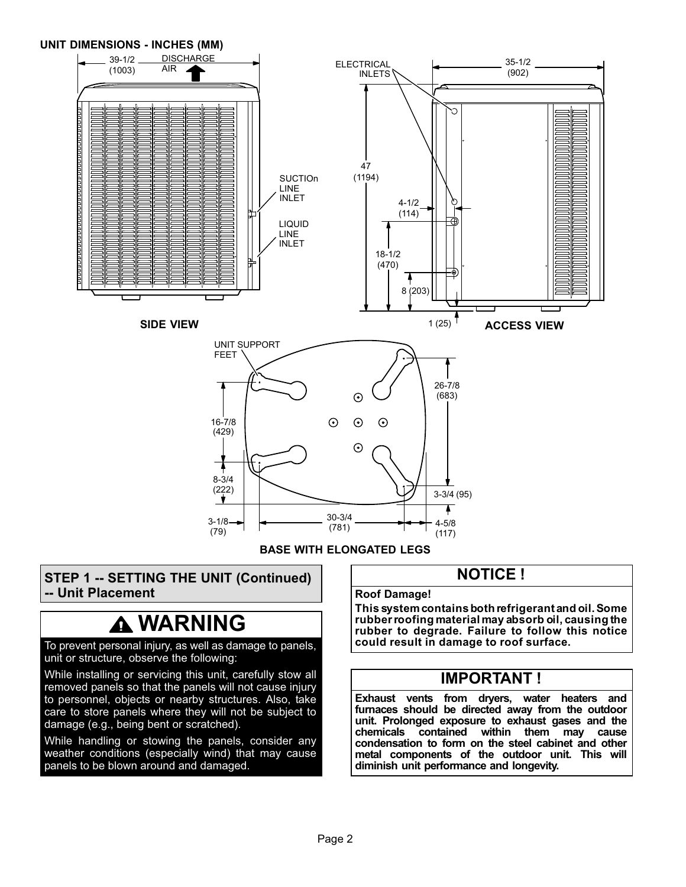

BASE WITH ELONGATED LEGS

### STEP 1 −− SETTING THE UNIT (Continued) −− Unit Placement

# **A WARNING**

#### To prevent personal injury, as well as damage to panels, unit or structure, observe the following:

While installing or servicing this unit, carefully stow all removed panels so that the panels will not cause injury to personnel, objects or nearby structures. Also, take care to store panels where they will not be subject to damage (e.g., being bent or scratched).

While handling or stowing the panels, consider any weather conditions (especially wind) that may cause panels to be blown around and damaged.

### NOTICE !

#### Roof Damage!

This system contains both refrigerant and oil. Some rubber roofing material may absorb oil, causing the rubber to degrade. Failure to follow this notice could result in damage to roof surface.

### IMPORTANT !

Exhaust vents from dryers, water heaters and furnaces should be directed away from the outdoor unit. Prolonged exposure to exhaust gases and the contained within them may cause condensation to form on the steel cabinet and other metal components of the outdoor unit. This will diminish unit performance and longevity.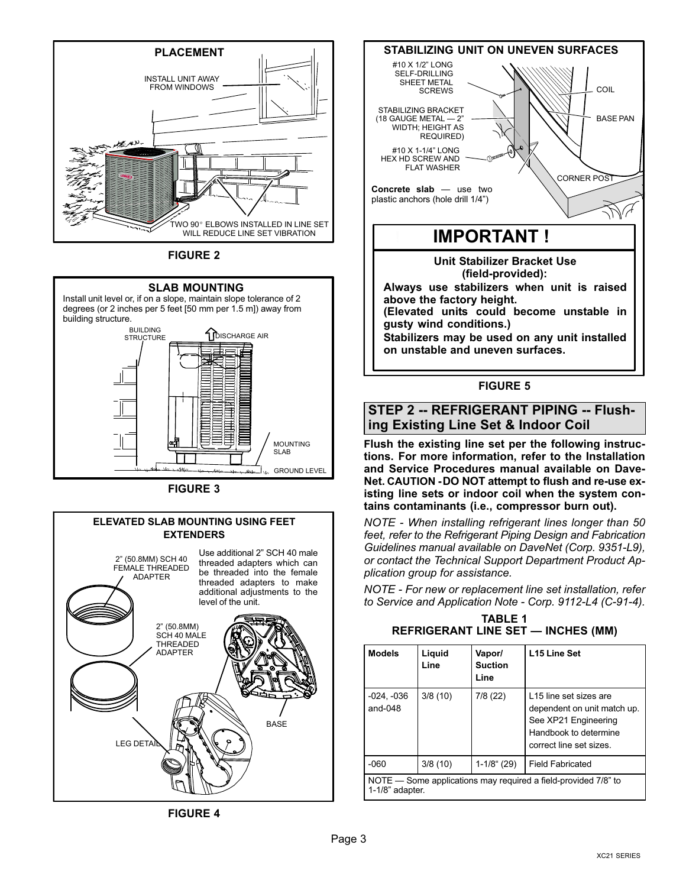

FIGURE 2



Install unit level or, if on a slope, maintain slope tolerance of 2 degrees (or 2 inches per 5 feet [50 mm per 1.5 m]) away from building structure.



FIGURE 3

#### 2" (50.8MM) SCH 40 FEMALE THREADED ADAPTER ELEVATED SLAB MOUNTING USING FEET EXTENDERS 2" (50.8MM) SCH 40 MALE Use additional 2" SCH 40 male threaded adapters which can be threaded into the female threaded adapters to make additional adjustments to the level of the unit.







#### FIGURE 5

STEP 2 −− REFRIGERANT PIPING −− Flushing Existing Line Set & Indoor Coil

Flush the existing line set per the following instructions. For more information, refer to the Installation and Service Procedures manual available on Dave-Net. CAUTION − DO NOT attempt to flush and re−use existing line sets or indoor coil when the system contains contaminants (i.e., compressor burn out).

NOTE − When installing refrigerant lines longer than 50 feet, refer to the Refrigerant Piping Design and Fabrication Guidelines manual available on DaveNet (Corp. 9351−L9), or contact the Technical Support Department Product Application group for assistance.

NOTE − For new or replacement line set installation, refer to Service and Application Note − Corp. 9112−L4 (C−91−4).

TABLE 1 REFRIGERANT LINE SET — INCHES (MM)

| <b>Models</b>                                                                        | Liquid<br>Line | Vapor/<br><b>Suction</b><br>Line | L <sub>15</sub> Line Set                                                                                                          |  |
|--------------------------------------------------------------------------------------|----------------|----------------------------------|-----------------------------------------------------------------------------------------------------------------------------------|--|
| $-024, -036$<br>and-048                                                              | 3/8(10)        | 7/8(22)                          | L15 line set sizes are<br>dependent on unit match up.<br>See XP21 Engineering<br>Handbook to determine<br>correct line set sizes. |  |
| $-060$                                                                               | 3/8(10)        | $1-1/8$ " (29)                   | <b>Field Fabricated</b>                                                                                                           |  |
| NOTE — Some applications may required a field-provided 7/8" to<br>$1-1/8$ " adapter. |                |                                  |                                                                                                                                   |  |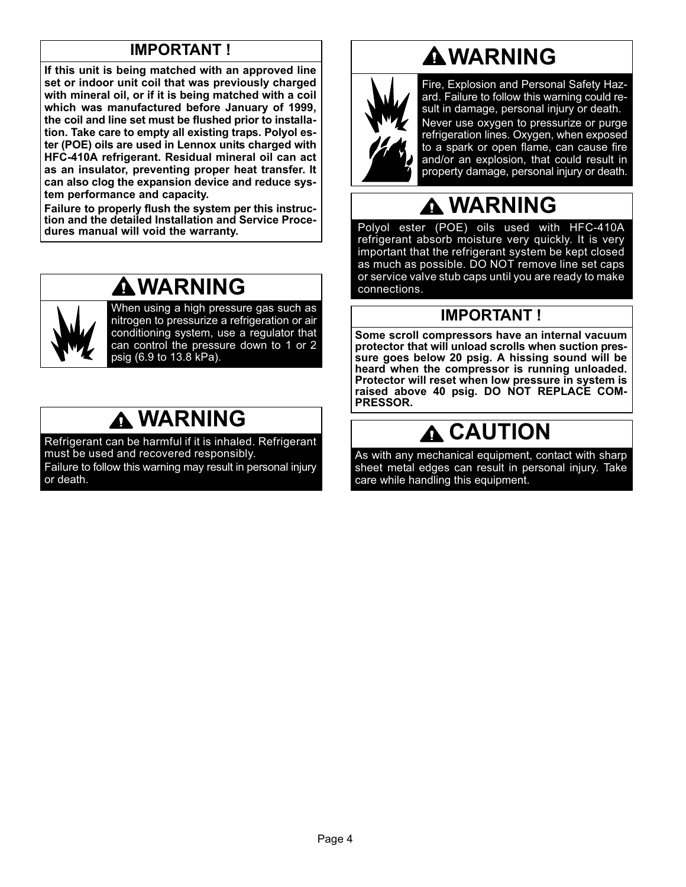# IMPORTANT !

If this unit is being matched with an approved line set or indoor unit coil that was previously charged with mineral oil, or if it is being matched with a coil which was manufactured before January of 1999, the coil and line set must be flushed prior to installation. Take care to empty all existing traps. Polyol ester (POE) oils are used in Lennox units charged with HFC−410A refrigerant. Residual mineral oil can act as an insulator, preventing proper heat transfer. It can also clog the expansion device and reduce system performance and capacity.

Failure to properly flush the system per this instruction and the detailed Installation and Service Procedures manual will void the warranty.

# WARNING



When using a high pressure gas such as nitrogen to pressurize a refrigeration or air conditioning system, use a regulator that can control the pressure down to 1 or 2 psig (6.9 to 13.8 kPa).

# $\triangle$  WARNING

Refrigerant can be harmful if it is inhaled. Refrigerant must be used and recovered responsibly. Failure to follow this warning may result in personal injury or death.

# WARNING



Fire, Explosion and Personal Safety Hazard. Failure to follow this warning could result in damage, personal injury or death. Never use oxygen to pressurize or purge refrigeration lines. Oxygen, when exposed to a spark or open flame, can cause fire and/or an explosion, that could result in property damage, personal injury or death.

# WARNING

Polyol ester (POE) oils used with HFC−410A refrigerant absorb moisture very quickly. It is very important that the refrigerant system be kept closed as much as possible. DO NOT remove line set caps or service valve stub caps until you are ready to make connections.

## IMPORTANT !

Some scroll compressors have an internal vacuum protector that will unload scrolls when suction pressure goes below 20 psig. A hissing sound will be heard when the compressor is running unloaded. Protector will reset when low pressure in system is raised above 40 psig. DO NOT REPLACE COM-PRESSOR.

# CAUTION

As with any mechanical equipment, contact with sharp sheet metal edges can result in personal injury. Take care while handling this equipment.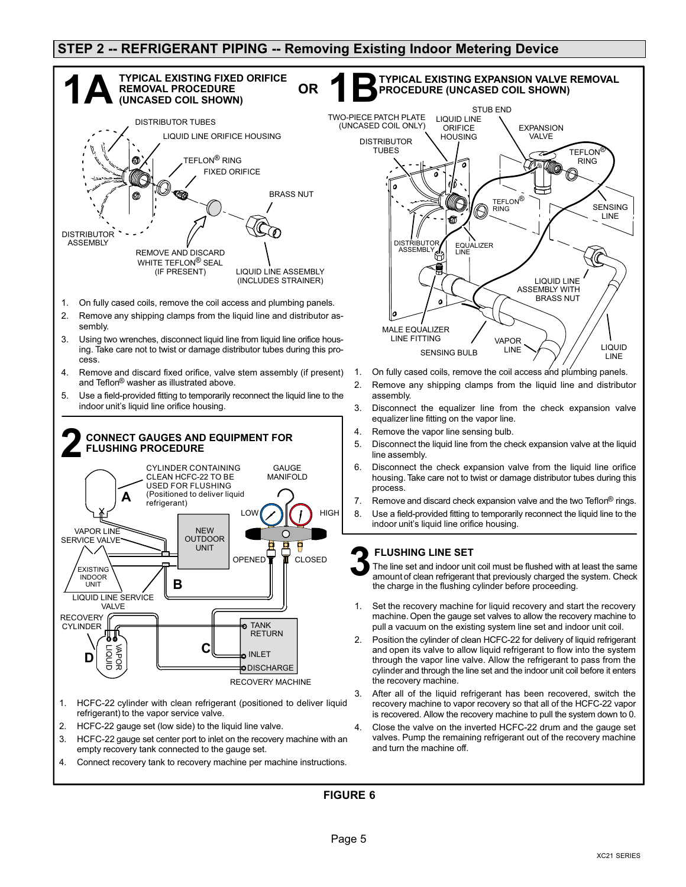#### STEP 2 -- REFRIGERANT PIPING -- Removing Existing Indoor Metering Device



- 2. HCFC−22 gauge set (low side) to the liquid line valve.
- 3. HCFC−22 gauge set center port to inlet on the recovery machine with an empty recovery tank connected to the gauge set.
- 4. Connect recovery tank to recovery machine per machine instructions.



- 1. On fully cased coils, remove the coil access and plumbing panels.
- 2. Remove any shipping clamps from the liquid line and distributor assembly.
- 3. Disconnect the equalizer line from the check expansion valve equalizer line fitting on the vapor line.
- 4. Remove the vapor line sensing bulb.
- 5. Disconnect the liquid line from the check expansion valve at the liquid line assembly.
- 6. Disconnect the check expansion valve from the liquid line orifice housing. Take care not to twist or damage distributor tubes during this process.
- 7. Remove and discard check expansion valve and the two  $\text{Teflon}^{\textcircled{p}}$  rings.
- 8. Use a field−provided fitting to temporarily reconnect the liquid line to the indoor unit's liquid line orifice housing.

#### FLUSHING LINE SET

- The line set and indoor unit coil must be flushed with at least the same amount of clean refrigerant that previously charged the system. Check the charge in the flushing cylinder before proceeding. 3
- B pull a vacuum on the existing system line set and indoor unit coil. Set the recovery machine for liquid recovery and start the recovery machine. Open the gauge set valves to allow the recovery machine to
- 2. Position the cylinder of clean HCFC−22 for delivery of liquid refrigerant and open its valve to allow liquid refrigerant to flow into the system through the vapor line valve. Allow the refrigerant to pass from the cylinder and through the line set and the indoor unit coil before it enters the recovery machine.
- After all of the liquid refrigerant has been recovered, switch the recovery machine to vapor recovery so that all of the HCFC−22 vapor is recovered. Allow the recovery machine to pull the system down to 0.
- 4. Close the valve on the inverted HCFC−22 drum and the gauge set valves. Pump the remaining refrigerant out of the recovery machine and turn the machine off.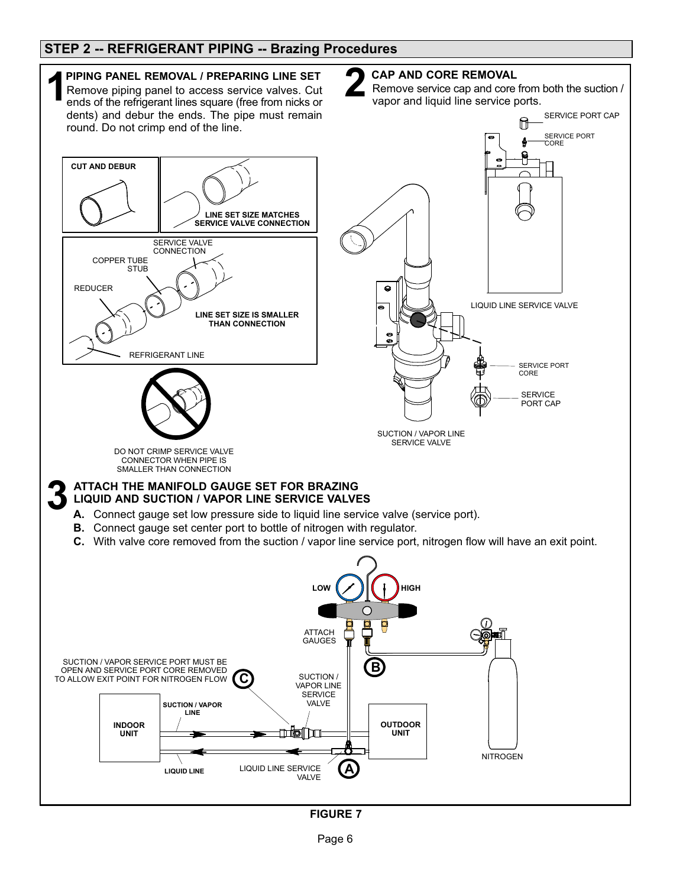### STEP 2 −− REFRIGERANT PIPING −− Brazing Procedures



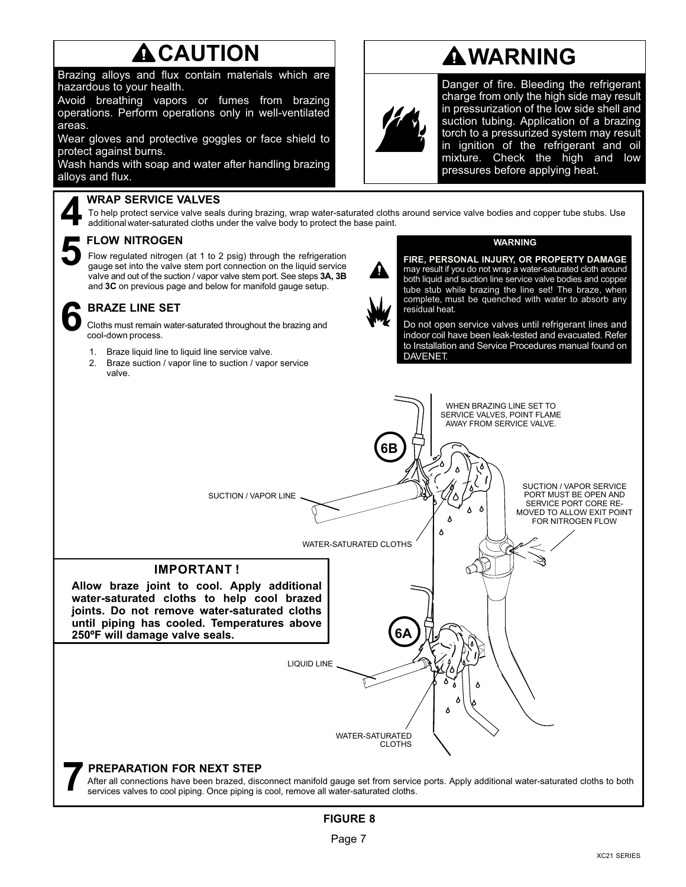# **A** CAUTION

Brazing alloys and flux contain materials which are hazardous to your health.

Avoid breathing vapors or fumes from brazing operations. Perform operations only in well−ventilated areas.

Wear gloves and protective goggles or face shield to protect against burns.

Wash hands with soap and water after handling brazing alloys and flux.

#### WRAP SERVICE VALVES

To help protect service valve seals during brazing, wrap water-saturated cloths around service valve bodies and copper tube stubs. Use additional water-saturated cloths under the valve body to protect the base paint.

#### FLOW NITROGEN

5

Flow regulated nitrogen (at 1 to 2 psig) through the refrigeration gauge set into the valve stem port connection on the liquid service valve and out of the suction / vapor valve stem port. See steps 3A, 3B and 3C on previous page and below for manifold gauge setup.

#### BRAZE LINE SET

Cloths must remain water−saturated throughout the brazing and 6 cool−down process.

- 1. Braze liquid line to liquid line service valve.
- 2. Braze suction / vapor line to suction / vapor service valve.



Danger of fire. Bleeding the refrigerant charge from only the high side may result in pressurization of the low side shell and suction tubing. Application of a brazing torch to a pressurized system may result in ignition of the refrigerant and oil mixture. Check the high and low pressures before applying heat.



#### WARNING

WARNING

FIRE, PERSONAL INJURY, OR PROPERTY DAMAGE may result if you do not wrap a water−saturated cloth around both liquid and suction line service valve bodies and copper tube stub while brazing the line set! The braze, when complete, must be quenched with water to absorb any residual heat.

Do not open service valves until refrigerant lines and indoor coil have been leak−tested and evacuated. Refer to Installation and Service Procedures manual found on DAVENET.

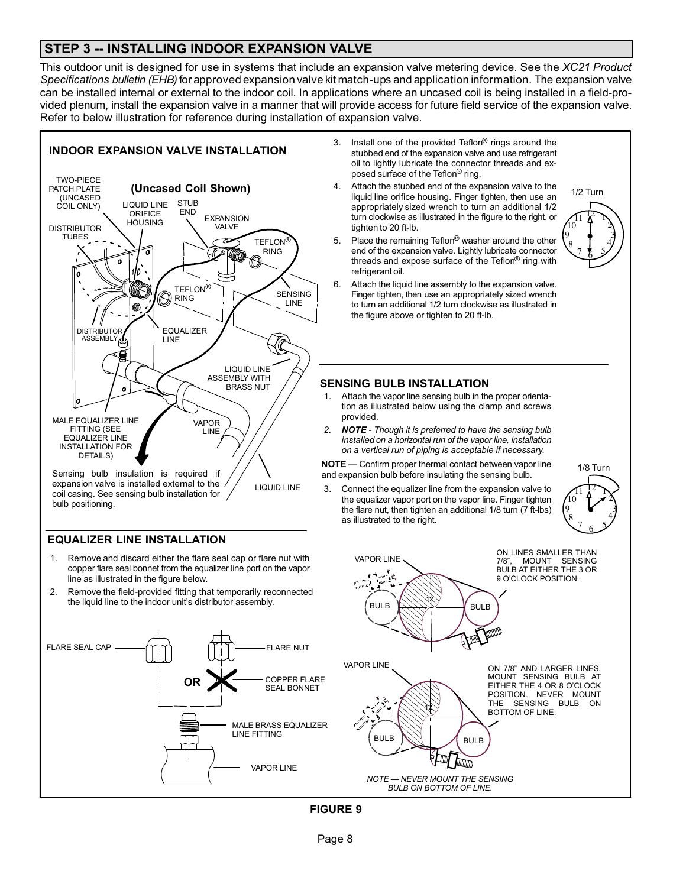### STEP 3 -- INSTALLING INDOOR EXPANSION VALVE

This outdoor unit is designed for use in systems that include an expansion valve metering device. See the XC21 Product Specifications bulletin (EHB) for approved expansion valve kit match-ups and application information. The expansion valve can be installed internal or external to the indoor coil. In applications where an uncased coil is being installed in a field−provided plenum, install the expansion valve in a manner that will provide access for future field service of the expansion valve. Refer to below illustration for reference during installation of expansion valve.



#### EQUALIZER LINE INSTALLATION

bulb positioning.

- 1. Remove and discard either the flare seal cap or flare nut with copper flare seal bonnet from the equalizer line port on the vapor line as illustrated in the figure below.
- 2. Remove the field−provided fitting that temporarily reconnected the liquid line to the indoor unit's distributor assembly.



- stubbed end of the expansion valve and use refrigerant oil to lightly lubricate the connector threads and exposed surface of the Teflon<sup>®</sup> ring.
- 4. Attach the stubbed end of the expansion valve to the liquid line orifice housing. Finger tighten, then use an appropriately sized wrench to turn an additional 1/2 turn clockwise as illustrated in the figure to the right, or tighten to 20 ft−lb.



- 5. Place the remaining Teflon® washer around the other end of the expansion valve. Lightly lubricate connector threads and expose surface of the Teflon<sup>®</sup> ring with refrigerant oil.
- 6. Attach the liquid line assembly to the expansion valve. Finger tighten, then use an appropriately sized wrench to turn an additional 1/2 turn clockwise as illustrated in the figure above or tighten to 20 ft−lb.

#### SENSING BULB INSTALLATION

- 1. Attach the vapor line sensing bulb in the proper orientation as illustrated below using the clamp and screws provided.
- 2. **NOTE** Though it is preferred to have the sensing bulb installed on a horizontal run of the vapor line, installation on a vertical run of piping is acceptable if necessary.

**NOTE** — Confirm proper thermal contact between vapor line and expansion bulb before insulating the sensing bulb.

Connect the equalizer line from the expansion valve to the equalizer vapor port on the vapor line. Finger tighten the flare nut, then tighten an additional 1/8 turn (7 ft−lbs) as illustrated to the right.



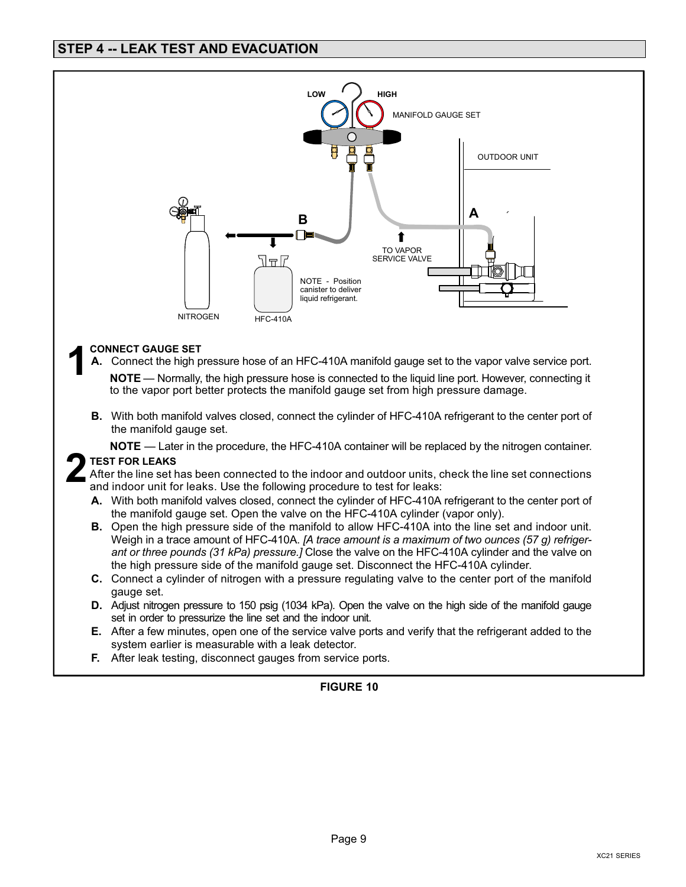

- E. After a few minutes, open one of the service valve ports and verify that the refrigerant added to the system earlier is measurable with a leak detector.
- F. After leak testing, disconnect gauges from service ports.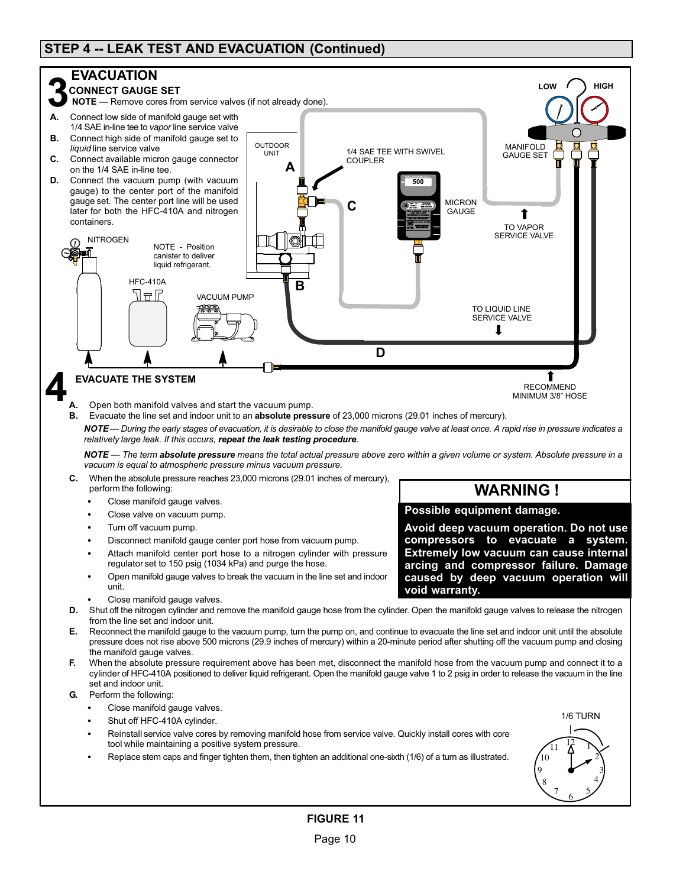### STEP 4 −− LEAK TEST AND EVACUATION (Continued)

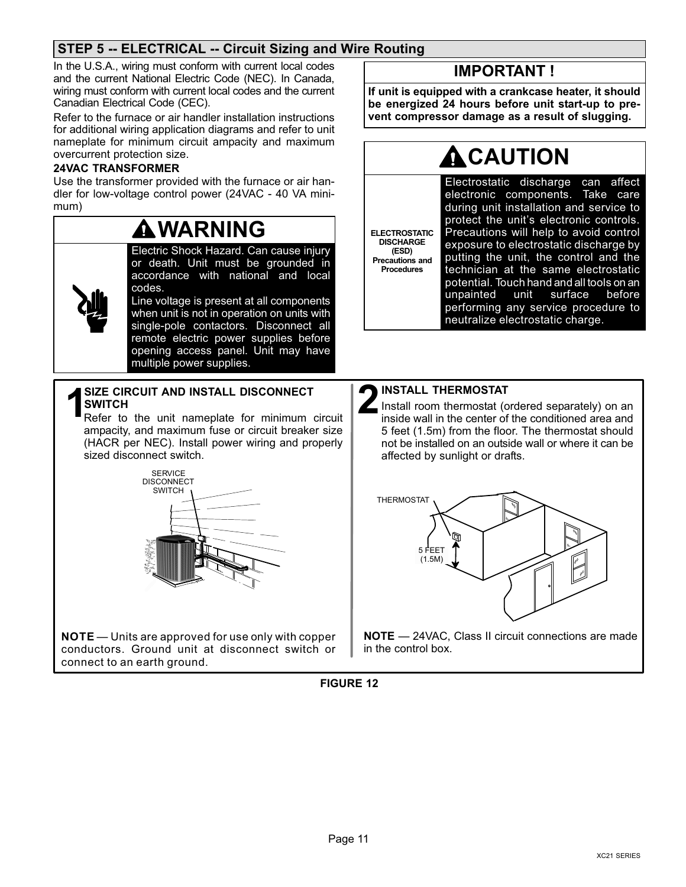### STEP 5 −− ELECTRICAL −− Circuit Sizing and Wire Routing

In the U.S.A., wiring must conform with current local codes and the current National Electric Code (NEC). In Canada, wiring must conform with current local codes and the current Canadian Electrical Code (CEC).

Refer to the furnace or air handler installation instructions for additional wiring application diagrams and refer to unit nameplate for minimum circuit ampacity and maximum overcurrent protection size.

#### 24VAC TRANSFORMER

Use the transformer provided with the furnace or air handler for low-voltage control power (24VAC − 40 VA minimum)

# WARNING

Electric Shock Hazard. Can cause injury or death. Unit must be grounded in accordance with national and local codes.



Line voltage is present at all components when unit is not in operation on units with single-pole contactors. Disconnect all remote electric power supplies before opening access panel. Unit may have

multiple power supplies.

# SIZE CIRCUIT AND INSTALL DISCONNECT<br>Refer to the unit nameplate for minimum circuit

ampacity, and maximum fuse or circuit breaker size (HACR per NEC). Install power wiring and properly sized disconnect switch.



**NOTE** — Units are approved for use only with copper conductors. Ground unit at disconnect switch or connect to an earth ground.

### IMPORTANT !

If unit is equipped with a crankcase heater, it should be energized 24 hours before unit start−up to prevent compressor damage as a result of slugging.

# **CAUTION**

ELECTROSTATIC DISCHARGE (ESD) Precautions and Procedures

Electrostatic discharge can affect electronic components. Take care during unit installation and service to protect the unit's electronic controls. Precautions will help to avoid control exposure to electrostatic discharge by putting the unit, the control and the technician at the same electrostatic potential. Touch hand and all tools on an unpainted unit surface before performing any service procedure to neutralize electrostatic charge.



Install room thermostat (ordered separately) on an inside wall in the center of the conditioned area and 5 feet (1.5m) from the floor. The thermostat should not be installed on an outside wall or where it can be affected by sunlight or drafts. **2** INSTALL THERMOSTAT<br>Install room thermostat (conside wall in the center of



NOTE - 24VAC, Class II circuit connections are made in the control box.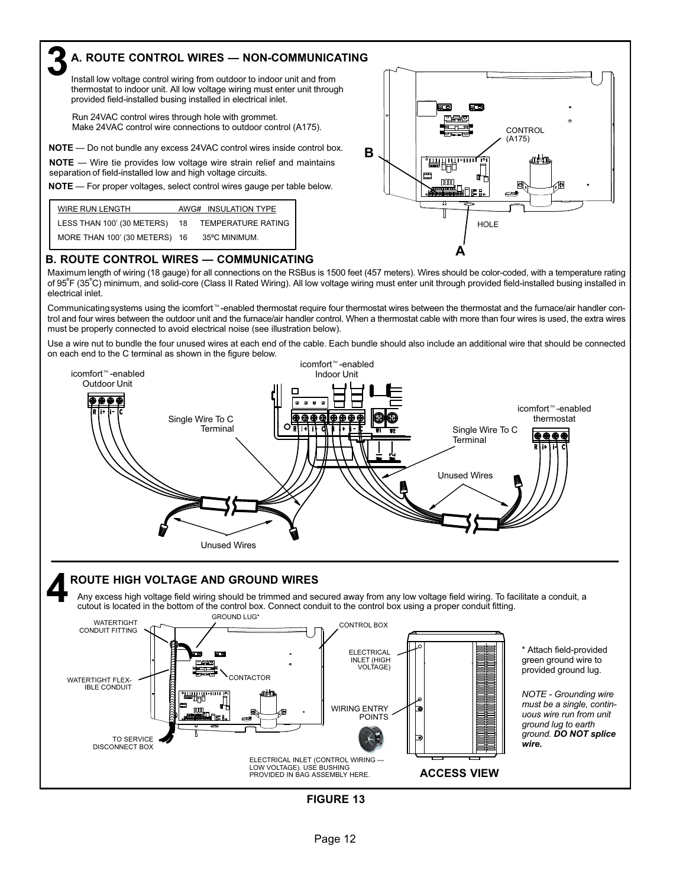### A. ROUTE CONTROL WIRES — NON-COMMUNICATING

Install low voltage control wiring from outdoor to indoor unit and from thermostat to indoor unit. All low voltage wiring must enter unit through provided field−installed busing installed in electrical inlet.

Run 24VAC control wires through hole with grommet. Make 24VAC control wire connections to outdoor control (A175).

NOTE - Do not bundle any excess 24VAC control wires inside control box.

**NOTE** — Wire tie provides low voltage wire strain relief and maintains separation of field−installed low and high voltage circuits.

3

NOTE - For proper voltages, select control wires gauge per table below.

| WIRE RUN LENGTH               |    | AWG# INSULATION TYPE |
|-------------------------------|----|----------------------|
| LESS THAN 100' (30 METERS)    | 18 | TEMPERATURE RATING   |
| MORE THAN 100' (30 METERS) 16 |    | 35°C MINIMUM.        |



#### B. ROUTE CONTROL WIRES — COMMUNICATING

Maximum length of wiring (18 gauge) for all connections on the RSBus is 1500 feet (457 meters). Wires should be color−coded, with a temperature rating of 95ºF (35ºC) minimum, and solid−core (Class II Rated Wiring). All low voltage wiring must enter unit through provided field−installed busing installed in electrical inlet.

Communicating systems using the icomfort<sup>™</sup>-enabled thermostat require four thermostat wires between the thermostat and the furnace/air handler control and four wires between the outdoor unit and the furnace/air handler control. When a thermostat cable with more than four wires is used, the extra wires must be properly connected to avoid electrical noise (see illustration below).

Use a wire nut to bundle the four unused wires at each end of the cable. Each bundle should also include an additional wire that should be connected on each end to the C terminal as shown in the figure below.



# ROUTE HIGH VOLTAGE AND GROUND WIRES 4

Any excess high voltage field wiring should be trimmed and secured away from any low voltage field wiring. To facilitate a conduit, a cutout is located in the bottom of the control box. Connect conduit to the control box using a proper conduit fitting.

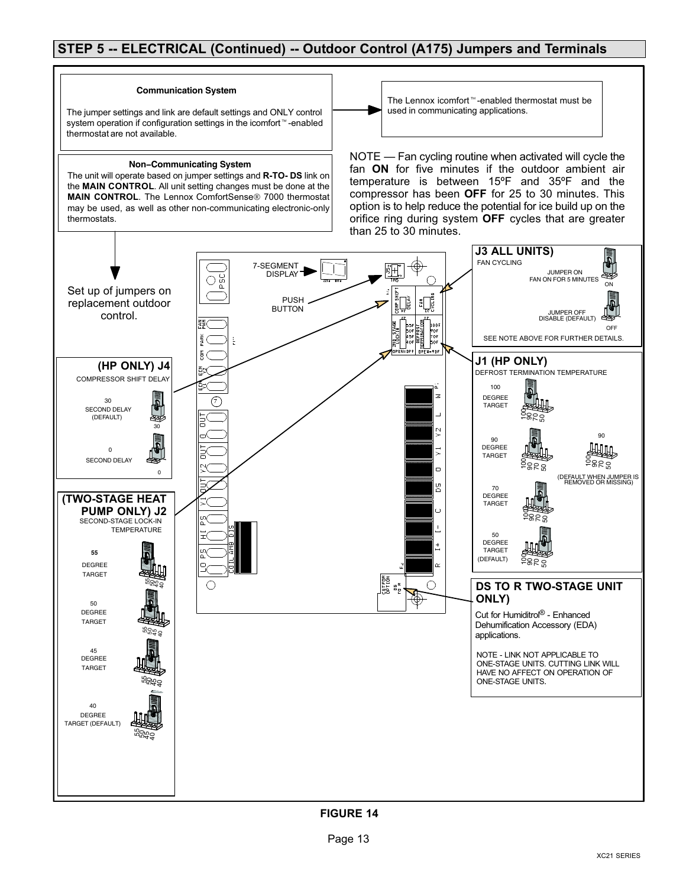### STEP 5 -- ELECTRICAL (Continued) -- Outdoor Control (A175) Jumpers and Terminals

#### **Communication System**

The jumper settings and link are default settings and ONLY control system operation if configuration settings in the icomfort<sup>™</sup>-enabled thermostat are not available.

#### **Non−Communicating System**

The unit will operate based on jumper settings and R−TO− DS link on the MAIN CONTROL. All unit setting changes must be done at the MAIN CONTROL. The Lennox ComfortSense<sup>®</sup> 7000 thermostat may be used, as well as other non−communicating electronic−only thermostats.

The Lennox icomfort<sup>™</sup>-enabled thermostat must be used in communicating applications.

NOTE — Fan cycling routine when activated will cycle the fan ON for five minutes if the outdoor ambient air temperature is between 15ºF and 35ºF and the compressor has been OFF for 25 to 30 minutes. This option is to help reduce the potential for ice build up on the orifice ring during system OFF cycles that are greater than 25 to 30 minutes.

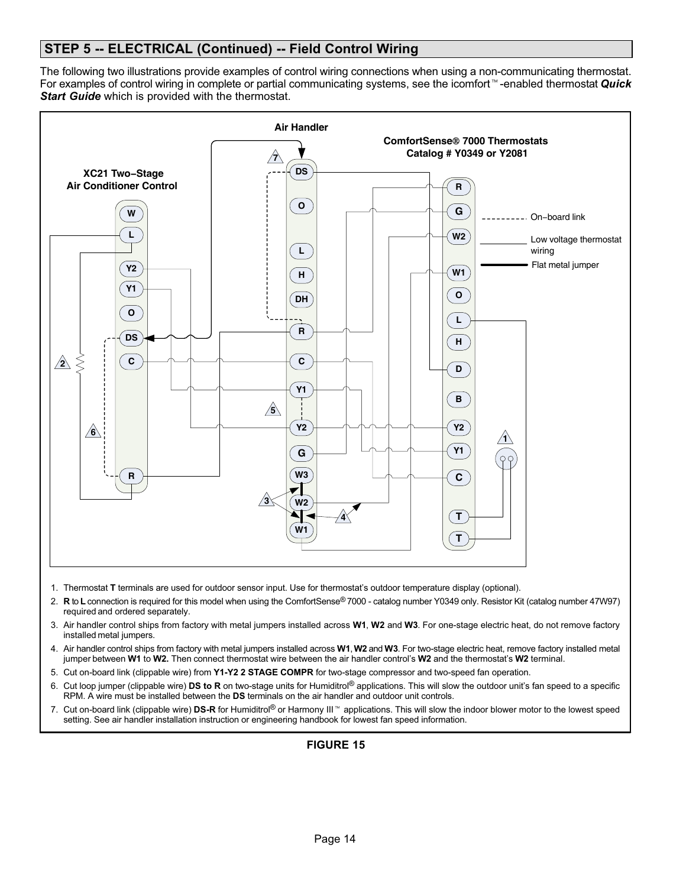### STEP 5 -- ELECTRICAL (Continued) -- Field Control Wiring

The following two illustrations provide examples of control wiring connections when using a non−communicating thermostat. For examples of control wiring in complete or partial communicating systems, see the icomfort™-enabled thermostat Quick **Start Guide** which is provided with the thermostat.



- 1. Thermostat T terminals are used for outdoor sensor input. Use for thermostat's outdoor temperature display (optional).
- 2. R to L connection is required for this model when using the ComfortSense® 7000 catalog number Y0349 only. Resistor Kit (catalog number 47W97) required and ordered separately.
- 3. Air handler control ships from factory with metal jumpers installed across W1, W2 and W3. For one-stage electric heat, do not remove factory installed metal jumpers.
- 4. Air handler control ships from factory with metal jumpers installed across W1, W2 and W3. For two-stage electric heat, remove factory installed metal jumper between W1 to W2. Then connect thermostat wire between the air handler control's W2 and the thermostat's W2 terminal.
- 5. Cut on−board link (clippable wire) from Y1−Y2 2 STAGE COMPR for two−stage compressor and two−speed fan operation.
- 6. Cut loop jumper (clippable wire) DS to R on two−stage units for Humiditrol® applications. This will slow the outdoor unit's fan speed to a specific RPM. A wire must be installed between the DS terminals on the air handler and outdoor unit controls.
- 7. Cut on-board link (clippable wire) DS-R for Humiditrol® or Harmony III<sup>™</sup> applications. This will slow the indoor blower motor to the lowest speed setting. See air handler installation instruction or engineering handbook for lowest fan speed information.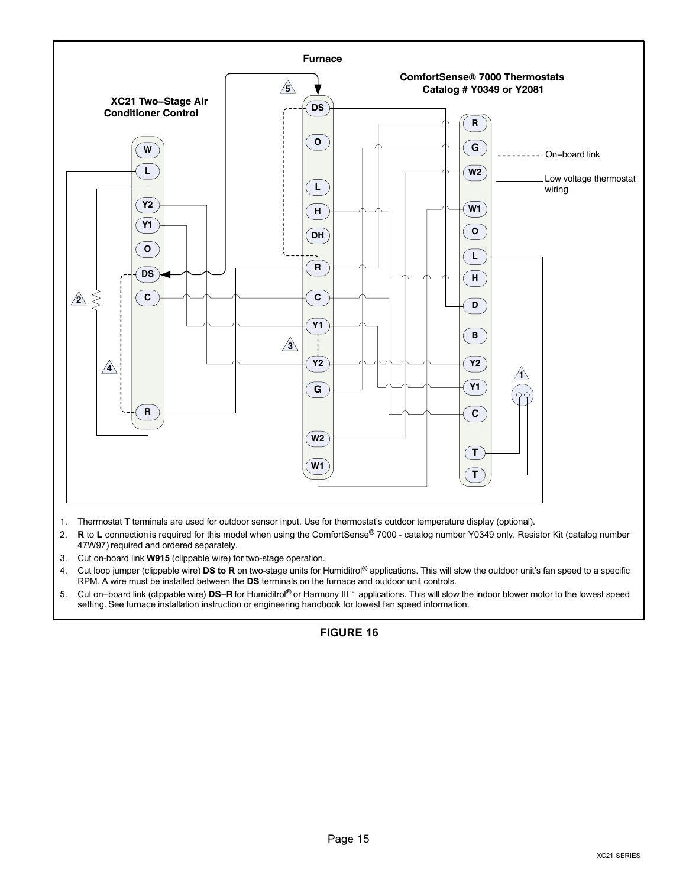

- 1. Thermostat T terminals are used for outdoor sensor input. Use for thermostat's outdoor temperature display (optional).
- 2. R to L connection is required for this model when using the ComfortSense® 7000 catalog number Y0349 only. Resistor Kit (catalog number 47W97) required and ordered separately.
- 3. Cut on−board link W915 (clippable wire) for two−stage operation.
- 4. Cut loop jumper (clippable wire) DS to R on two-stage units for Humiditrol® applications. This will slow the outdoor unit's fan speed to a specific RPM. A wire must be installed between the DS terminals on the furnace and outdoor unit controls.
- 5. Cut on–board link (clippable wire) DS-R for Humiditrol<sup>®</sup> or Harmony III<sup>™</sup> applications. This will slow the indoor blower motor to the lowest speed setting. See furnace installation instruction or engineering handbook for lowest fan speed information.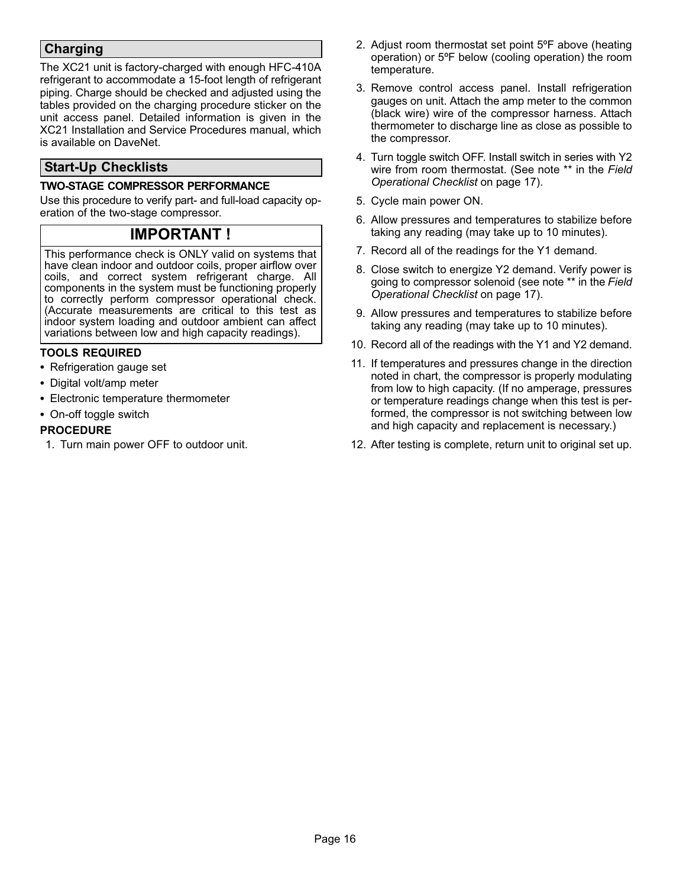### Charging

The XC21 unit is factory−charged with enough HFC−410A refrigerant to accommodate a 15−foot length of refrigerant piping. Charge should be checked and adjusted using the tables provided on the charging procedure sticker on the unit access panel. Detailed information is given in the XC21 Installation and Service Procedures manual, which is available on DaveNet.

### Start−Up Checklists

#### TWO−STAGE COMPRESSOR PERFORMANCE

Use this procedure to verify part- and full-load capacity operation of the two-stage compressor.

### IMPORTANT !

This performance check is ONLY valid on systems that have clean indoor and outdoor coils, proper airflow over coils, and correct system refrigerant charge. All components in the system must be functioning properly to correctly perform compressor operational check. (Accurate measurements are critical to this test as indoor system loading and outdoor ambient can affect variations between low and high capacity readings).

#### TOOLS REQUIRED

- Refrigeration gauge set
- Digital volt/amp meter
- Electronic temperature thermometer
- On-off toggle switch

#### PROCEDURE

1. Turn main power OFF to outdoor unit.

- 2. Adjust room thermostat set point 5ºF above (heating operation) or 5ºF below (cooling operation) the room temperature.
- 3. Remove control access panel. Install refrigeration gauges on unit. Attach the amp meter to the common (black wire) wire of the compressor harness. Attach thermometer to discharge line as close as possible to the compressor.
- 4. Turn toggle switch OFF. Install switch in series with Y2 wire from room thermostat. (See note \*\* in the Field Operational Checklist on page [17\)](#page-16-0).
- 5. Cycle main power ON.
- 6. Allow pressures and temperatures to stabilize before taking any reading (may take up to 10 minutes).
- 7. Record all of the readings for the Y1 demand.
- 8. Close switch to energize Y2 demand. Verify power is going to compressor solenoid (see note \*\* in the Field Operational Checklist on page [17\)](#page-16-0).
- 9. Allow pressures and temperatures to stabilize before taking any reading (may take up to 10 minutes).
- 10. Record all of the readings with the Y1 and Y2 demand.
- 11. If temperatures and pressures change in the direction noted in chart, the compressor is properly modulating from low to high capacity. (If no amperage, pressures or temperature readings change when this test is performed, the compressor is not switching between low and high capacity and replacement is necessary.)
- 12. After testing is complete, return unit to original set up.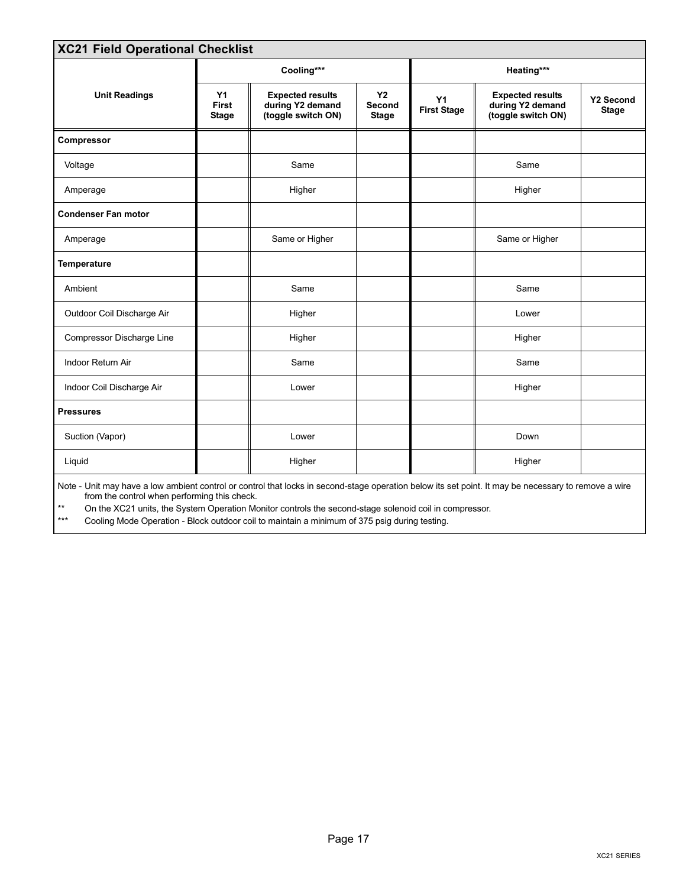<span id="page-16-0"></span>

| <b>XC21 Field Operational Checklist</b>                                                                                                                                                              |                                    |                                                                   |                                     |                          |                                                                   |                                  |  |
|------------------------------------------------------------------------------------------------------------------------------------------------------------------------------------------------------|------------------------------------|-------------------------------------------------------------------|-------------------------------------|--------------------------|-------------------------------------------------------------------|----------------------------------|--|
|                                                                                                                                                                                                      |                                    | Cooling***                                                        |                                     |                          | Heating***                                                        |                                  |  |
| <b>Unit Readings</b>                                                                                                                                                                                 | Y1<br><b>First</b><br><b>Stage</b> | <b>Expected results</b><br>during Y2 demand<br>(toggle switch ON) | <b>Y2</b><br>Second<br><b>Stage</b> | Y1<br><b>First Stage</b> | <b>Expected results</b><br>during Y2 demand<br>(toggle switch ON) | <b>Y2 Second</b><br><b>Stage</b> |  |
| Compressor                                                                                                                                                                                           |                                    |                                                                   |                                     |                          |                                                                   |                                  |  |
| Voltage                                                                                                                                                                                              |                                    | Same                                                              |                                     |                          | Same                                                              |                                  |  |
| Amperage                                                                                                                                                                                             |                                    | Higher                                                            |                                     |                          | Higher                                                            |                                  |  |
| <b>Condenser Fan motor</b>                                                                                                                                                                           |                                    |                                                                   |                                     |                          |                                                                   |                                  |  |
| Amperage                                                                                                                                                                                             |                                    | Same or Higher                                                    |                                     |                          | Same or Higher                                                    |                                  |  |
| <b>Temperature</b>                                                                                                                                                                                   |                                    |                                                                   |                                     |                          |                                                                   |                                  |  |
| Ambient                                                                                                                                                                                              |                                    | Same                                                              |                                     |                          | Same                                                              |                                  |  |
| Outdoor Coil Discharge Air                                                                                                                                                                           |                                    | Higher                                                            |                                     |                          | Lower                                                             |                                  |  |
| Compressor Discharge Line                                                                                                                                                                            |                                    | Higher                                                            |                                     |                          | Higher                                                            |                                  |  |
| Indoor Return Air                                                                                                                                                                                    |                                    | Same                                                              |                                     |                          | Same                                                              |                                  |  |
| Indoor Coil Discharge Air                                                                                                                                                                            |                                    | Lower                                                             |                                     |                          | Higher                                                            |                                  |  |
| <b>Pressures</b>                                                                                                                                                                                     |                                    |                                                                   |                                     |                          |                                                                   |                                  |  |
| Suction (Vapor)                                                                                                                                                                                      |                                    | Lower                                                             |                                     |                          | Down                                                              |                                  |  |
| Liquid                                                                                                                                                                                               |                                    | Higher                                                            |                                     |                          | Higher                                                            |                                  |  |
| Note - Unit may have a low ambient control or control that locks in second-stage operation below its set point. It may be necessary to remove a wire<br>from the control when performing this check. |                                    |                                                                   |                                     |                          |                                                                   |                                  |  |

\*\* On the XC21 units, the System Operation Monitor controls the second−stage solenoid coil in compressor.

Cooling Mode Operation - Block outdoor coil to maintain a minimum of 375 psig during testing.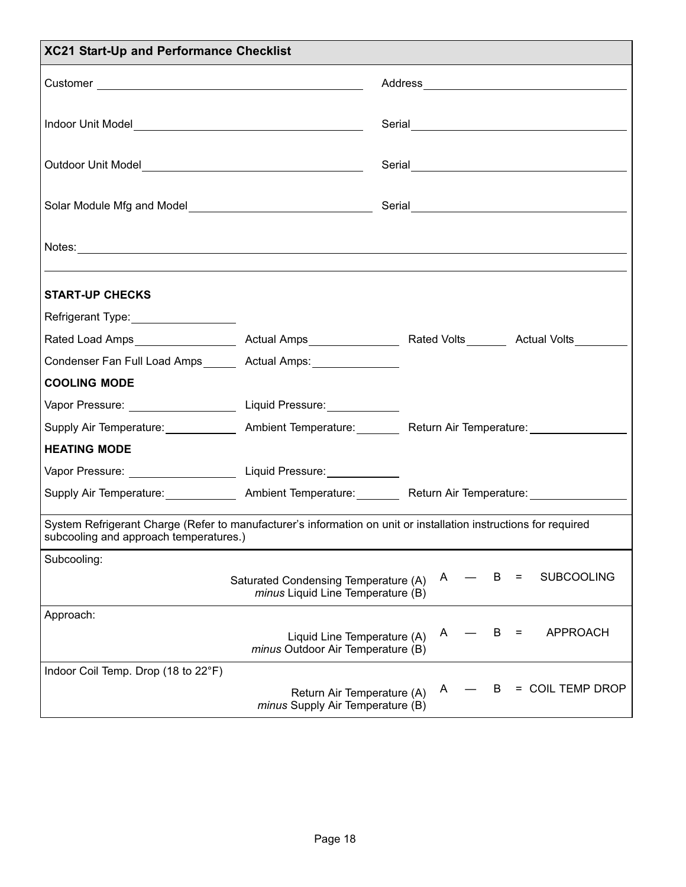| <b>XC21 Start-Up and Performance Checklist</b>                                                                                                             |                                                                           |                                                                                                                |  |  |  |
|------------------------------------------------------------------------------------------------------------------------------------------------------------|---------------------------------------------------------------------------|----------------------------------------------------------------------------------------------------------------|--|--|--|
|                                                                                                                                                            |                                                                           |                                                                                                                |  |  |  |
|                                                                                                                                                            |                                                                           |                                                                                                                |  |  |  |
|                                                                                                                                                            |                                                                           |                                                                                                                |  |  |  |
|                                                                                                                                                            |                                                                           |                                                                                                                |  |  |  |
|                                                                                                                                                            |                                                                           |                                                                                                                |  |  |  |
| <b>START-UP CHECKS</b>                                                                                                                                     |                                                                           |                                                                                                                |  |  |  |
| Refrigerant Type: __________________                                                                                                                       |                                                                           |                                                                                                                |  |  |  |
|                                                                                                                                                            |                                                                           |                                                                                                                |  |  |  |
| Condenser Fan Full Load Amps _____ Actual Amps: _______________                                                                                            |                                                                           |                                                                                                                |  |  |  |
| <b>COOLING MODE</b>                                                                                                                                        |                                                                           |                                                                                                                |  |  |  |
| Vapor Pressure: __________________________Liquid Pressure: _______________                                                                                 |                                                                           |                                                                                                                |  |  |  |
|                                                                                                                                                            |                                                                           | Supply Air Temperature: _______________ Ambient Temperature: _________ Return Air Temperature: ______________  |  |  |  |
| <b>HEATING MODE</b>                                                                                                                                        |                                                                           |                                                                                                                |  |  |  |
| Vapor Pressure: ____________________________Liquid Pressure: ___________________                                                                           |                                                                           |                                                                                                                |  |  |  |
|                                                                                                                                                            |                                                                           | Supply Air Temperature: ________________ Ambient Temperature: __________ Return Air Temperature: _____________ |  |  |  |
| System Refrigerant Charge (Refer to manufacturer's information on unit or installation instructions for required<br>subcooling and approach temperatures.) |                                                                           |                                                                                                                |  |  |  |
| Subcooling:                                                                                                                                                |                                                                           |                                                                                                                |  |  |  |
|                                                                                                                                                            | Saturated Condensing Temperature (A)<br>minus Liquid Line Temperature (B) | <b>SUBCOOLING</b><br>в<br>A<br>Ξ                                                                               |  |  |  |
| Approach:                                                                                                                                                  | Liquid Line Temperature (A)<br>minus Outdoor Air Temperature (B)          | <b>APPROACH</b><br>В<br>A<br>=                                                                                 |  |  |  |
| Indoor Coil Temp. Drop (18 to 22°F)                                                                                                                        | Return Air Temperature (A)<br>minus Supply Air Temperature (B)            | = COIL TEMP DROP<br>В<br>A                                                                                     |  |  |  |